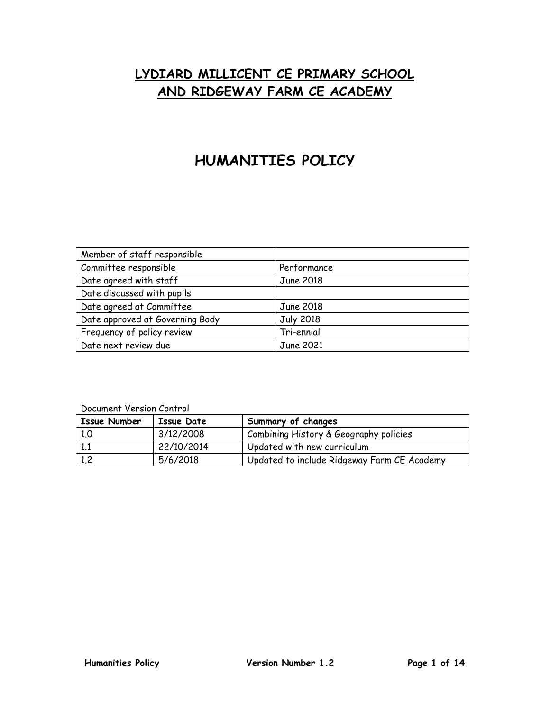# **LYDIARD MILLICENT CE PRIMARY SCHOOL AND RIDGEWAY FARM CE ACADEMY**

# **HUMANITIES POLICY**

| Member of staff responsible     |                  |
|---------------------------------|------------------|
| Committee responsible           | Performance      |
| Date agreed with staff          | June 2018        |
| Date discussed with pupils      |                  |
| Date agreed at Committee        | June 2018        |
| Date approved at Governing Body | <b>July 2018</b> |
| Frequency of policy review      | Tri-ennial       |
| Date next review due            | June 2021        |

| <b>Issue Number</b> | Issue Date | Summary of changes                          |
|---------------------|------------|---------------------------------------------|
| 1.0                 | 3/12/2008  | Combining History & Geography policies      |
|                     | 22/10/2014 | Updated with new curriculum                 |
| 1,2                 | 5/6/2018   | Updated to include Ridgeway Farm CE Academy |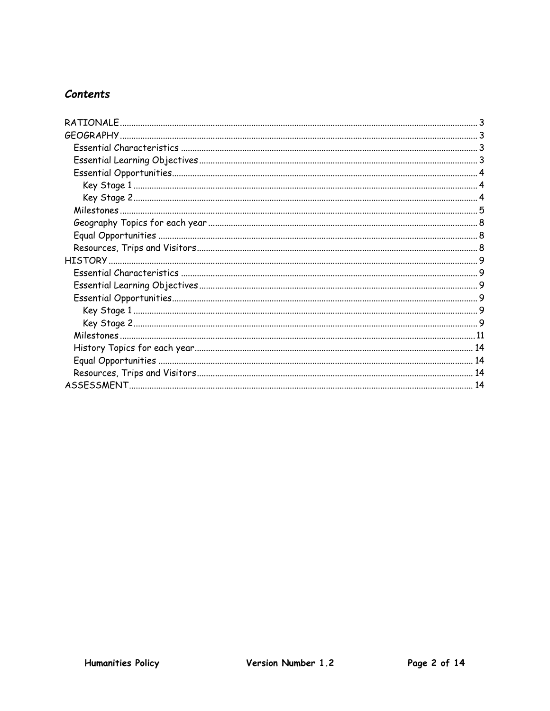# **Contents**

| RATIONALF |  |
|-----------|--|
|           |  |
|           |  |
|           |  |
|           |  |
|           |  |
|           |  |
|           |  |
|           |  |
|           |  |
|           |  |
|           |  |
|           |  |
|           |  |
|           |  |
|           |  |
|           |  |
|           |  |
|           |  |
|           |  |
|           |  |
|           |  |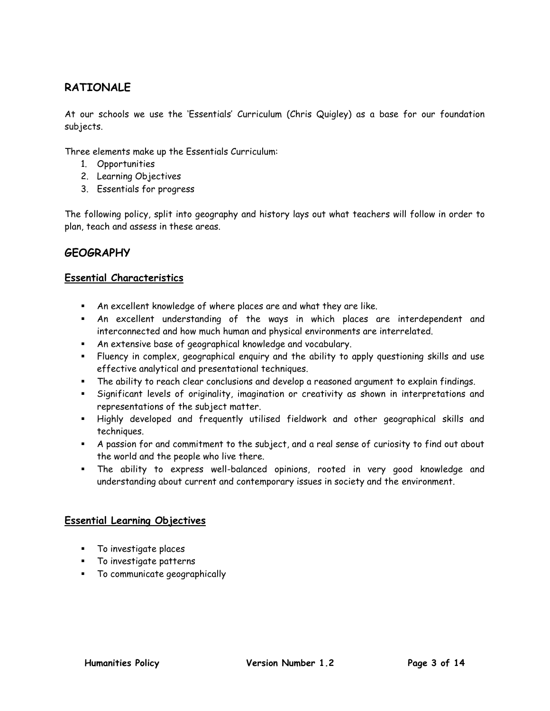# <span id="page-2-0"></span>**RATIONALE**

At our schools we use the 'Essentials' Curriculum (Chris Quigley) as a base for our foundation subjects.

Three elements make up the Essentials Curriculum:

- 1. Opportunities
- 2. Learning Objectives
- 3. Essentials for progress

The following policy, split into geography and history lays out what teachers will follow in order to plan, teach and assess in these areas.

## <span id="page-2-1"></span>**GEOGRAPHY**

#### <span id="page-2-2"></span>**Essential Characteristics**

- An excellent knowledge of where places are and what they are like.
- An excellent understanding of the ways in which places are interdependent and interconnected and how much human and physical environments are interrelated.
- An extensive base of geographical knowledge and vocabulary.
- Fluency in complex, geographical enquiry and the ability to apply questioning skills and use effective analytical and presentational techniques.
- The ability to reach clear conclusions and develop a reasoned argument to explain findings.
- Significant levels of originality, imagination or creativity as shown in interpretations and representations of the subject matter.
- Highly developed and frequently utilised fieldwork and other geographical skills and techniques.
- A passion for and commitment to the subject, and a real sense of curiosity to find out about the world and the people who live there.
- The ability to express well-balanced opinions, rooted in very good knowledge and understanding about current and contemporary issues in society and the environment.

### <span id="page-2-3"></span>**Essential Learning Objectives**

- **To investigate places**
- To investigate patterns
- To communicate geographically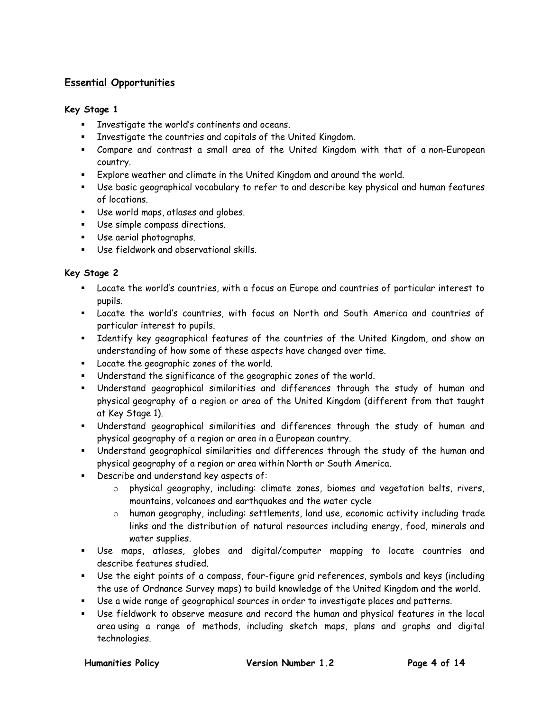## <span id="page-3-0"></span>**Essential Opportunities**

#### <span id="page-3-1"></span>**Key Stage 1**

- Investigate the world's continents and oceans.
- Investigate the countries and capitals of the United Kingdom.
- Compare and contrast a small area of the United Kingdom with that of a non-European country.
- Explore weather and climate in the United Kingdom and around the world.
- Use basic geographical vocabulary to refer to and describe key physical and human features of locations.
- Use world maps, atlases and globes.
- Use simple compass directions.
- Use aerial photographs.
- Use fieldwork and observational skills.

#### <span id="page-3-2"></span>**Key Stage 2**

- Locate the world's countries, with a focus on Europe and countries of particular interest to pupils.
- Locate the world's countries, with focus on North and South America and countries of particular interest to pupils.
- Identify key geographical features of the countries of the United Kingdom, and show an understanding of how some of these aspects have changed over time.
- **Locate the geographic zones of the world.**
- Understand the significance of the geographic zones of the world.
- Understand geographical similarities and differences through the study of human and physical geography of a region or area of the United Kingdom (different from that taught at Key Stage 1).
- Understand geographical similarities and differences through the study of human and physical geography of a region or area in a European country.
- Understand geographical similarities and differences through the study of the human and physical geography of a region or area within North or South America.
- **Describe and understand key aspects of:** 
	- o physical geography, including: climate zones, biomes and vegetation belts, rivers, mountains, volcanoes and earthquakes and the water cycle
	- o human geography, including: settlements, land use, economic activity including trade links and the distribution of natural resources including energy, food, minerals and water supplies.
- Use maps, atlases, globes and digital/computer mapping to locate countries and describe features studied.
- Use the eight points of a compass, four-figure grid references, symbols and keys (including the use of Ordnance Survey maps) to build knowledge of the United Kingdom and the world.
- Use a wide range of geographical sources in order to investigate places and patterns.
- Use fieldwork to observe measure and record the human and physical features in the local area using a range of methods, including sketch maps, plans and graphs and digital technologies.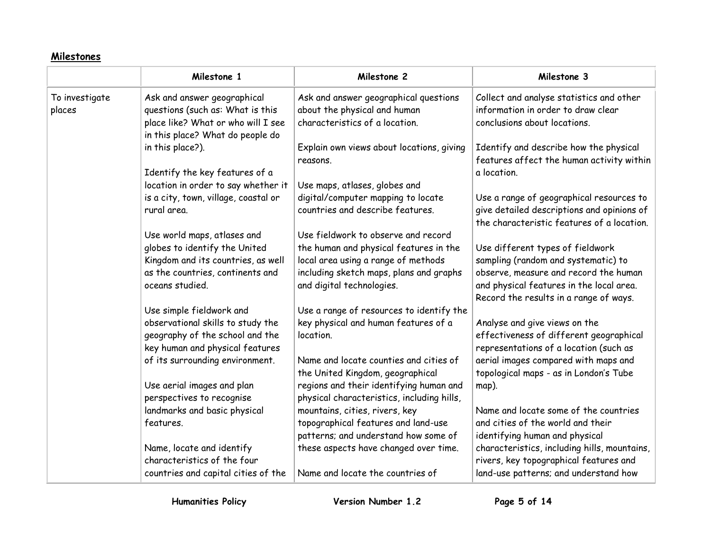# **Milestones**

<span id="page-4-0"></span>

|                          | Milestone 1                                                                                                                               | Milestone 2                                                                                             | Milestone 3                                                                                                                          |
|--------------------------|-------------------------------------------------------------------------------------------------------------------------------------------|---------------------------------------------------------------------------------------------------------|--------------------------------------------------------------------------------------------------------------------------------------|
| To investigate<br>places | Ask and answer geographical<br>questions (such as: What is this<br>place like? What or who will I see<br>in this place? What do people do | Ask and answer geographical questions<br>about the physical and human<br>characteristics of a location. | Collect and analyse statistics and other<br>information in order to draw clear<br>conclusions about locations.                       |
|                          | in this place?).                                                                                                                          | Explain own views about locations, giving                                                               | Identify and describe how the physical                                                                                               |
|                          | Identify the key features of a                                                                                                            | reasons.                                                                                                | features affect the human activity within                                                                                            |
|                          | location in order to say whether it                                                                                                       | Use maps, atlases, globes and                                                                           | a location.                                                                                                                          |
|                          | is a city, town, village, coastal or<br>rural area.                                                                                       | digital/computer mapping to locate<br>countries and describe features.                                  | Use a range of geographical resources to<br>give detailed descriptions and opinions of<br>the characteristic features of a location. |
|                          | Use world maps, atlases and                                                                                                               | Use fieldwork to observe and record                                                                     | Use different types of fieldwork                                                                                                     |
|                          | globes to identify the United                                                                                                             | the human and physical features in the                                                                  | sampling (random and systematic) to                                                                                                  |
|                          | Kingdom and its countries, as well                                                                                                        | local area using a range of methods                                                                     | observe, measure and record the human                                                                                                |
|                          | as the countries, continents and                                                                                                          | including sketch maps, plans and graphs                                                                 | and physical features in the local area.                                                                                             |
|                          | oceans studied.                                                                                                                           | and digital technologies.                                                                               | Record the results in a range of ways.                                                                                               |
|                          | Use simple fieldwork and                                                                                                                  | Use a range of resources to identify the                                                                | Analyse and give views on the                                                                                                        |
|                          | observational skills to study the                                                                                                         | key physical and human features of a                                                                    | effectiveness of different geographical                                                                                              |
|                          | geography of the school and the                                                                                                           | location.                                                                                               | representations of a location (such as                                                                                               |
|                          | key human and physical features                                                                                                           | Name and locate counties and cities of                                                                  | aerial images compared with maps and                                                                                                 |
|                          | of its surrounding environment.                                                                                                           | the United Kingdom, geographical                                                                        | topological maps - as in London's Tube                                                                                               |
|                          | Use aerial images and plan                                                                                                                | regions and their identifying human and                                                                 | map).                                                                                                                                |
|                          | perspectives to recognise                                                                                                                 | physical characteristics, including hills,                                                              | Name and locate some of the countries                                                                                                |
|                          | landmarks and basic physical                                                                                                              | mountains, cities, rivers, key                                                                          | and cities of the world and their                                                                                                    |
|                          | features.                                                                                                                                 | topographical features and land-use                                                                     | identifying human and physical                                                                                                       |
|                          | Name, locate and identify                                                                                                                 | patterns; and understand how some of                                                                    | characteristics, including hills, mountains,                                                                                         |
|                          | characteristics of the four                                                                                                               | these aspects have changed over time.                                                                   | rivers, key topographical features and                                                                                               |
|                          | countries and capital cities of the                                                                                                       | Name and locate the countries of                                                                        | land-use patterns; and understand how                                                                                                |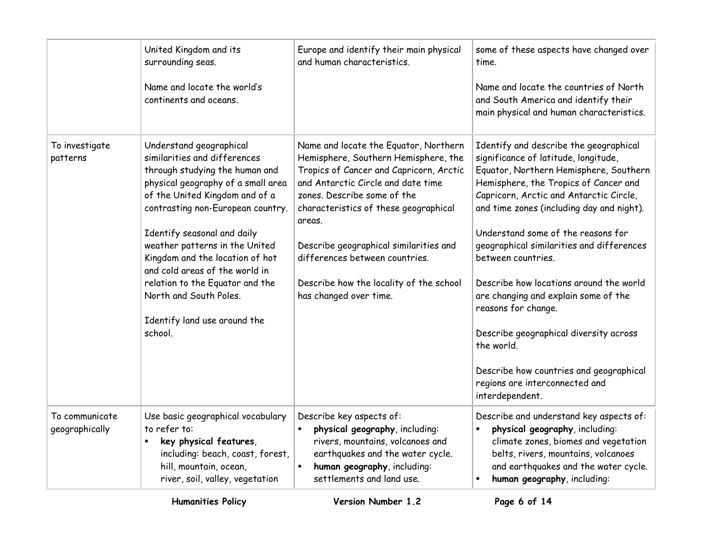|                                  | United Kingdom and its<br>surrounding seas.<br>Name and locate the world's<br>continents and oceans.                                                                                                                                                                                                                                                                                                                                                 | Europe and identify their main physical<br>and human characteristics.                                                                                                                                                                                                                                                                                                                             | some of these aspects have changed over<br>time.<br>Name and locate the countries of North<br>and South America and identify their<br>main physical and human characteristics.                                                                                                                                                                                                                                                                                                                                                                                                                                                       |
|----------------------------------|------------------------------------------------------------------------------------------------------------------------------------------------------------------------------------------------------------------------------------------------------------------------------------------------------------------------------------------------------------------------------------------------------------------------------------------------------|---------------------------------------------------------------------------------------------------------------------------------------------------------------------------------------------------------------------------------------------------------------------------------------------------------------------------------------------------------------------------------------------------|--------------------------------------------------------------------------------------------------------------------------------------------------------------------------------------------------------------------------------------------------------------------------------------------------------------------------------------------------------------------------------------------------------------------------------------------------------------------------------------------------------------------------------------------------------------------------------------------------------------------------------------|
| To investigate<br>patterns       | Understand geographical<br>similarities and differences<br>through studying the human and<br>physical geography of a small area<br>of the United Kingdom and of a<br>contrasting non-European country.<br>Identify seasonal and daily<br>weather patterns in the United<br>Kingdom and the location of hot<br>and cold areas of the world in<br>relation to the Equator and the<br>North and South Poles.<br>Identify land use around the<br>school. | Name and locate the Equator, Northern<br>Hemisphere, Southern Hemisphere, the<br>Tropics of Cancer and Capricorn, Arctic<br>and Antarctic Circle and date time<br>zones. Describe some of the<br>characteristics of these geographical<br>areas.<br>Describe geographical similarities and<br>differences between countries.<br>Describe how the locality of the school<br>has changed over time. | Identify and describe the geographical<br>significance of latitude, longitude,<br>Equator, Northern Hemisphere, Southern<br>Hemisphere, the Tropics of Cancer and<br>Capricorn, Arctic and Antarctic Circle,<br>and time zones (including day and night).<br>Understand some of the reasons for<br>geographical similarities and differences<br>between countries.<br>Describe how locations around the world<br>are changing and explain some of the<br>reasons for change.<br>Describe geographical diversity across<br>the world.<br>Describe how countries and geographical<br>regions are interconnected and<br>interdependent. |
| To communicate<br>geographically | Use basic geographical vocabulary<br>to refer to:<br>key physical features,<br>٠<br>including: beach, coast, forest,<br>hill, mountain, ocean,<br>river, soil, valley, vegetation                                                                                                                                                                                                                                                                    | Describe key aspects of:<br>physical geography, including:<br>rivers, mountains, volcanoes and<br>earthquakes and the water cycle.<br>human geography, including:<br>settlements and land use.                                                                                                                                                                                                    | Describe and understand key aspects of:<br>physical geography, including:<br>climate zones, biomes and vegetation<br>belts, rivers, mountains, volcanoes<br>and earthquakes and the water cycle.<br>human geography, including:                                                                                                                                                                                                                                                                                                                                                                                                      |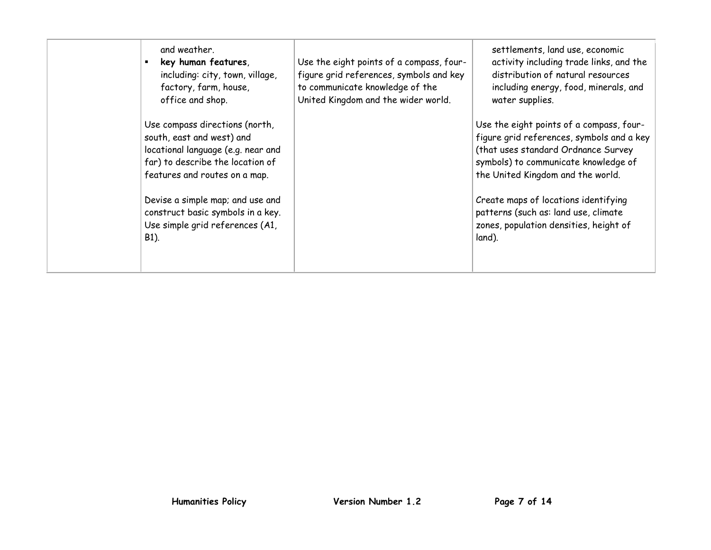| and weather.<br>key human features,<br>including: city, town, village,<br>factory, farm, house,<br>office and shop.                                                    | Use the eight points of a compass, four-<br>figure grid references, symbols and key<br>to communicate knowledge of the<br>United Kingdom and the wider world. | settlements, land use, economic<br>activity including trade links, and the<br>distribution of natural resources<br>including energy, food, minerals, and<br>water supplies.                               |
|------------------------------------------------------------------------------------------------------------------------------------------------------------------------|---------------------------------------------------------------------------------------------------------------------------------------------------------------|-----------------------------------------------------------------------------------------------------------------------------------------------------------------------------------------------------------|
| Use compass directions (north,<br>south, east and west) and<br>locational language (e.g. near and<br>far) to describe the location of<br>features and routes on a map. |                                                                                                                                                               | Use the eight points of a compass, four-<br>figure grid references, symbols and a key<br>(that uses standard Ordnance Survey<br>symbols) to communicate knowledge of<br>the United Kingdom and the world. |
| Devise a simple map; and use and<br>construct basic symbols in a key.<br>Use simple grid references (A1,<br>B1).                                                       |                                                                                                                                                               | Create maps of locations identifying<br>patterns (such as: land use, climate<br>zones, population densities, height of<br>land).                                                                          |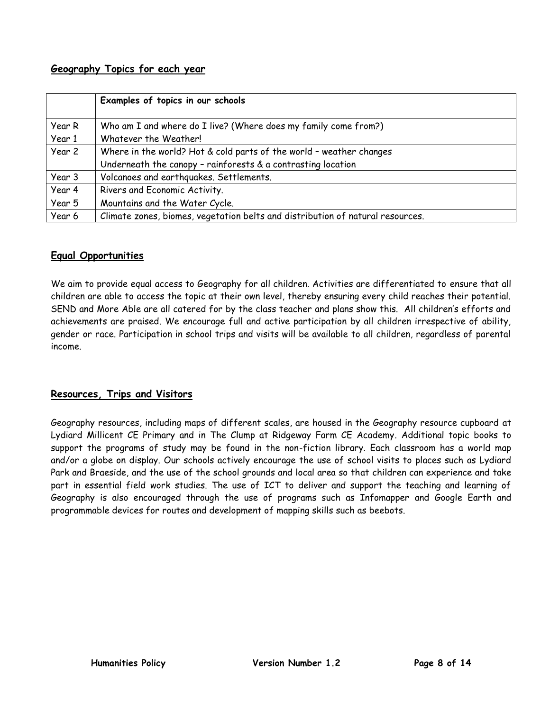## <span id="page-7-0"></span>**Geography Topics for each year**

|        | Examples of topics in our schools                                              |
|--------|--------------------------------------------------------------------------------|
| Year R | Who am I and where do I live? (Where does my family come from?)                |
| Year 1 | Whatever the Weather!                                                          |
| Year 2 | Where in the world? Hot & cold parts of the world - weather changes            |
|        | Underneath the canopy - rainforests & a contrasting location                   |
| Year 3 | Volcanoes and earthquakes. Settlements.                                        |
| Year 4 | Rivers and Economic Activity.                                                  |
| Year 5 | Mountains and the Water Cycle.                                                 |
| Year 6 | Climate zones, biomes, vegetation belts and distribution of natural resources. |

## <span id="page-7-1"></span>**Equal Opportunities**

We aim to provide equal access to Geography for all children. Activities are differentiated to ensure that all children are able to access the topic at their own level, thereby ensuring every child reaches their potential. SEND and More Able are all catered for by the class teacher and plans show this. All children's efforts and achievements are praised. We encourage full and active participation by all children irrespective of ability, gender or race. Participation in school trips and visits will be available to all children, regardless of parental income.

## <span id="page-7-2"></span>**Resources, Trips and Visitors**

Geography resources, including maps of different scales, are housed in the Geography resource cupboard at Lydiard Millicent CE Primary and in The Clump at Ridgeway Farm CE Academy. Additional topic books to support the programs of study may be found in the non-fiction library. Each classroom has a world map and/or a globe on display. Our schools actively encourage the use of school visits to places such as Lydiard Park and Braeside, and the use of the school grounds and local area so that children can experience and take part in essential field work studies. The use of ICT to deliver and support the teaching and learning of Geography is also encouraged through the use of programs such as Infomapper and Google Earth and programmable devices for routes and development of mapping skills such as beebots.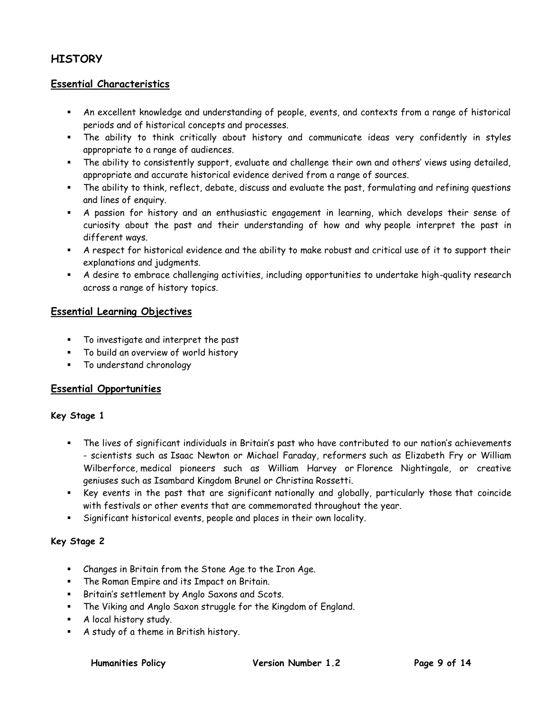## <span id="page-8-0"></span>**HISTORY**

### <span id="page-8-1"></span>**Essential Characteristics**

- An excellent knowledge and understanding of people, events, and contexts from a range of historical periods and of historical concepts and processes.
- The ability to think critically about history and communicate ideas very confidently in styles appropriate to a range of audiences.
- The ability to consistently support, evaluate and challenge their own and others' views using detailed, appropriate and accurate historical evidence derived from a range of sources.
- The ability to think, reflect, debate, discuss and evaluate the past, formulating and refining questions and lines of enquiry.
- A passion for history and an enthusiastic engagement in learning, which develops their sense of curiosity about the past and their understanding of how and why people interpret the past in different ways.
- A respect for historical evidence and the ability to make robust and critical use of it to support their explanations and judgments.
- A desire to embrace challenging activities, including opportunities to undertake high-quality research across a range of history topics.

#### <span id="page-8-2"></span>**Essential Learning Objectives**

- To investigate and interpret the past
- To build an overview of world history
- **To understand chronology**

### <span id="page-8-3"></span>**Essential Opportunities**

#### <span id="page-8-4"></span>**Key Stage 1**

- The lives of significant individuals in Britain's past who have contributed to our nation's achievements - scientists such as Isaac Newton or Michael Faraday, reformers such as Elizabeth Fry or William Wilberforce, medical pioneers such as William Harvey or Florence Nightingale, or creative geniuses such as Isambard Kingdom Brunel or Christina Rossetti.
- Key events in the past that are significant nationally and globally, particularly those that coincide with festivals or other events that are commemorated throughout the year.
- Significant historical events, people and places in their own locality.

### <span id="page-8-5"></span>**Key Stage 2**

- Changes in Britain from the Stone Age to the Iron Age.
- The Roman Empire and its Impact on Britain.
- Britain's settlement by Anglo Saxons and Scots.
- The Viking and Anglo Saxon struggle for the Kingdom of England.
- **A** local history study.
- A study of a theme in British history.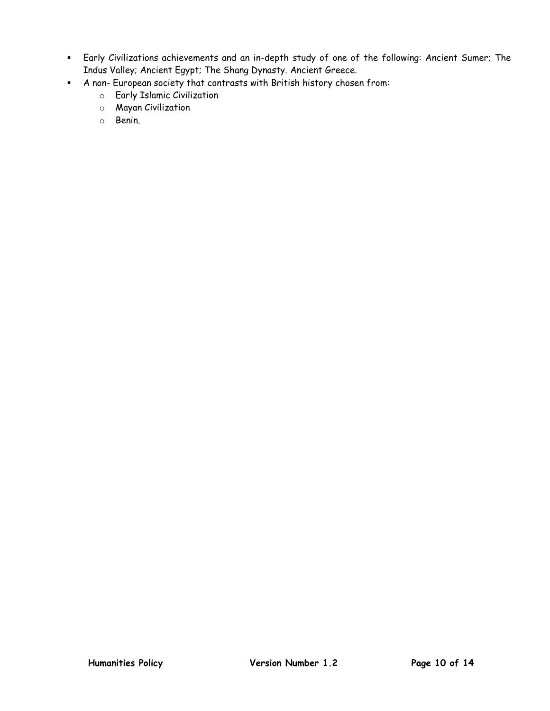- Early Civilizations achievements and an in-depth study of one of the following: Ancient Sumer; The Indus Valley; Ancient Egypt; The Shang Dynasty. Ancient Greece.
- A non- European society that contrasts with British history chosen from:
	- o Early Islamic Civilization
	- o Mayan Civilization
	- o Benin.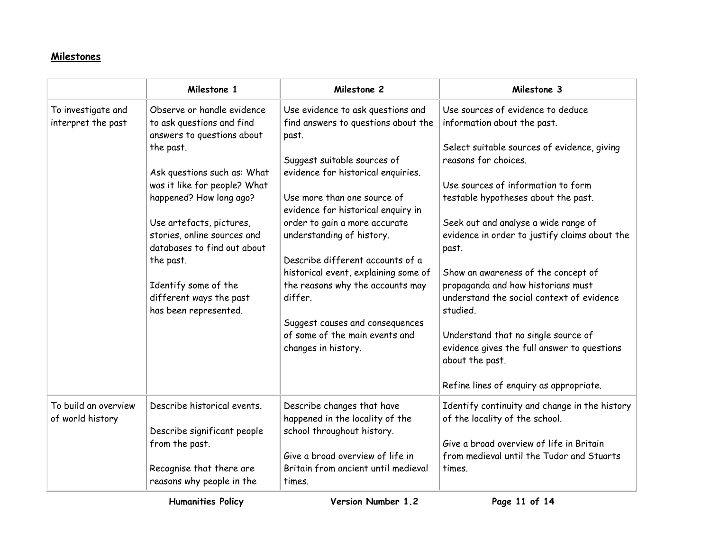# **Milestones**

<span id="page-10-0"></span>

|                                          | Milestone 1                                                                                                                                                                                                                                                                                                                                                                     | Milestone 2                                                                                                                                                                                                                                                                                                                                                                                                                                                                                                      | Milestone 3                                                                                                                                                                                                                                                                                                                                                                                                                                                                                                                                                                                                      |
|------------------------------------------|---------------------------------------------------------------------------------------------------------------------------------------------------------------------------------------------------------------------------------------------------------------------------------------------------------------------------------------------------------------------------------|------------------------------------------------------------------------------------------------------------------------------------------------------------------------------------------------------------------------------------------------------------------------------------------------------------------------------------------------------------------------------------------------------------------------------------------------------------------------------------------------------------------|------------------------------------------------------------------------------------------------------------------------------------------------------------------------------------------------------------------------------------------------------------------------------------------------------------------------------------------------------------------------------------------------------------------------------------------------------------------------------------------------------------------------------------------------------------------------------------------------------------------|
| To investigate and<br>interpret the past | Observe or handle evidence<br>to ask questions and find<br>answers to questions about<br>the past.<br>Ask questions such as: What<br>was it like for people? What<br>happened? How long ago?<br>Use artefacts, pictures,<br>stories, online sources and<br>databases to find out about<br>the past.<br>Identify some of the<br>different ways the past<br>has been represented. | Use evidence to ask questions and<br>find answers to questions about the<br>past.<br>Suggest suitable sources of<br>evidence for historical enquiries.<br>Use more than one source of<br>evidence for historical enquiry in<br>order to gain a more accurate<br>understanding of history.<br>Describe different accounts of a<br>historical event, explaining some of<br>the reasons why the accounts may<br>differ.<br>Suggest causes and consequences<br>of some of the main events and<br>changes in history. | Use sources of evidence to deduce<br>information about the past.<br>Select suitable sources of evidence, giving<br>reasons for choices.<br>Use sources of information to form<br>testable hypotheses about the past.<br>Seek out and analyse a wide range of<br>evidence in order to justify claims about the<br>past.<br>Show an awareness of the concept of<br>propaganda and how historians must<br>understand the social context of evidence<br>studied.<br>Understand that no single source of<br>evidence gives the full answer to questions<br>about the past.<br>Refine lines of enquiry as appropriate. |
| To build an overview<br>of world history | Describe historical events.<br>Describe significant people<br>from the past.<br>Recognise that there are<br>reasons why people in the                                                                                                                                                                                                                                           | Describe changes that have<br>happened in the locality of the<br>school throughout history.<br>Give a broad overview of life in<br>Britain from ancient until medieval<br>times.                                                                                                                                                                                                                                                                                                                                 | Identify continuity and change in the history<br>of the locality of the school.<br>Give a broad overview of life in Britain<br>from medieval until the Tudor and Stuarts<br>times.                                                                                                                                                                                                                                                                                                                                                                                                                               |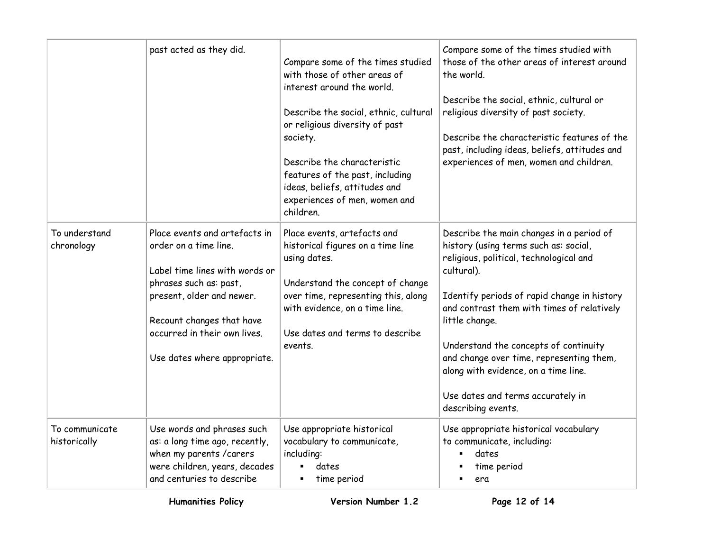|                                | past acted as they did.                                                                                                                                                                                                                      | Compare some of the times studied<br>with those of other areas of<br>interest around the world.<br>Describe the social, ethnic, cultural<br>or religious diversity of past<br>society.<br>Describe the characteristic<br>features of the past, including<br>ideas, beliefs, attitudes and<br>experiences of men, women and<br>children. | Compare some of the times studied with<br>those of the other areas of interest around<br>the world.<br>Describe the social, ethnic, cultural or<br>religious diversity of past society.<br>Describe the characteristic features of the<br>past, including ideas, beliefs, attitudes and<br>experiences of men, women and children.                                                                                                                |
|--------------------------------|----------------------------------------------------------------------------------------------------------------------------------------------------------------------------------------------------------------------------------------------|-----------------------------------------------------------------------------------------------------------------------------------------------------------------------------------------------------------------------------------------------------------------------------------------------------------------------------------------|---------------------------------------------------------------------------------------------------------------------------------------------------------------------------------------------------------------------------------------------------------------------------------------------------------------------------------------------------------------------------------------------------------------------------------------------------|
| To understand<br>chronology    | Place events and artefacts in<br>order on a time line.<br>Label time lines with words or<br>phrases such as: past,<br>present, older and newer.<br>Recount changes that have<br>occurred in their own lives.<br>Use dates where appropriate. | Place events, artefacts and<br>historical figures on a time line<br>using dates.<br>Understand the concept of change<br>over time, representing this, along<br>with evidence, on a time line.<br>Use dates and terms to describe<br>events.                                                                                             | Describe the main changes in a period of<br>history (using terms such as: social,<br>religious, political, technological and<br>cultural).<br>Identify periods of rapid change in history<br>and contrast them with times of relatively<br>little change.<br>Understand the concepts of continuity<br>and change over time, representing them,<br>along with evidence, on a time line.<br>Use dates and terms accurately in<br>describing events. |
| To communicate<br>historically | Use words and phrases such<br>as: a long time ago, recently,<br>when my parents / carers<br>were children, years, decades<br>and centuries to describe                                                                                       | Use appropriate historical<br>vocabulary to communicate,<br>including:<br>dates<br>time period<br>٠                                                                                                                                                                                                                                     | Use appropriate historical vocabulary<br>to communicate, including:<br>dates<br>time period<br>era                                                                                                                                                                                                                                                                                                                                                |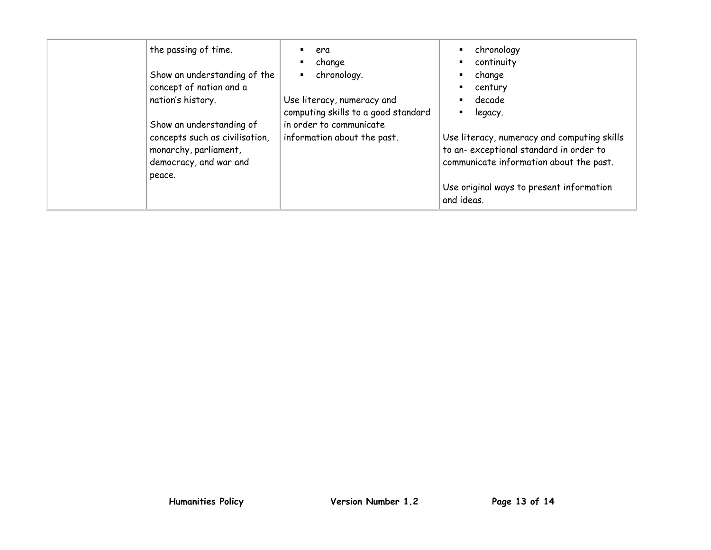| the passing of time.<br>Show an understanding of the<br>concept of nation and a<br>nation's history.                    | era<br>change<br>٠<br>chronology.<br>п<br>Use literacy, numeracy and<br>computing skills to a good standard | chronology<br>continuity<br>change<br>century<br>decade<br>legacy.                                                                                                                         |
|-------------------------------------------------------------------------------------------------------------------------|-------------------------------------------------------------------------------------------------------------|--------------------------------------------------------------------------------------------------------------------------------------------------------------------------------------------|
| Show an understanding of<br>concepts such as civilisation,<br>monarchy, parliament,<br>democracy, and war and<br>peace. | in order to communicate<br>information about the past.                                                      | Use literacy, numeracy and computing skills<br>to an-exceptional standard in order to<br>communicate information about the past.<br>Use original ways to present information<br>and ideas. |